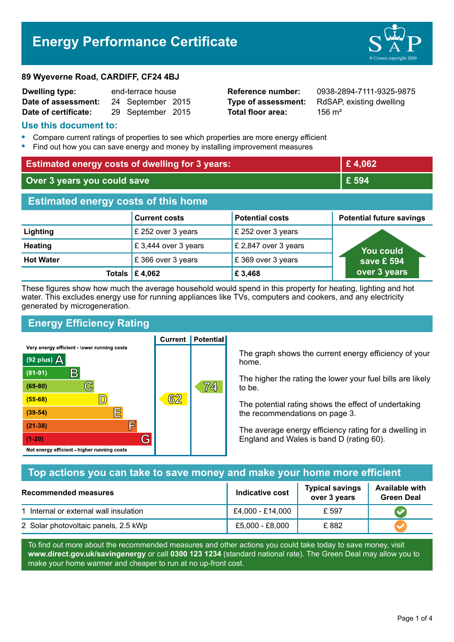# Energy Performance Certificate



| <b>Dwelling type:</b> | end-terrace house |                   |  |
|-----------------------|-------------------|-------------------|--|
| Date of assessment:   |                   | 24 September 2015 |  |
| Date of certificate:  |                   | 29 September 2015 |  |

Total floor area:  $156 \text{ m}^2$ 

**Reference number: 0938-2894-7111-9325-9875** Type of assessment: RdSAP, existing dwelling

#### Use this document to:

- Compare current ratings of properties to see which properties are more energy efficient
- Find out how you can save energy and money by installing improvement measures

| <b>Estimated energy costs of dwelling for 3 years:</b> |                           | £4,062                 |                                 |  |
|--------------------------------------------------------|---------------------------|------------------------|---------------------------------|--|
| Over 3 years you could save                            |                           | £ 594                  |                                 |  |
| <b>Estimated energy costs of this home</b>             |                           |                        |                                 |  |
|                                                        | <b>Current costs</b>      | <b>Potential costs</b> | <b>Potential future savings</b> |  |
| Lighting                                               | £ 252 over 3 years        | £ 252 over 3 years     |                                 |  |
| <b>Heating</b>                                         | £3,444 over 3 years       | £ 2,847 over 3 years   | <b>You could</b>                |  |
| <b>Hot Water</b>                                       | £366 over 3 years         | £369 over 3 years      | save £ 594                      |  |
|                                                        | Totals $\mathsf{E}$ 4,062 | £ 3,468                | over 3 years                    |  |

These figures show how much the average household would spend in this property for heating, lighting and hot water. This excludes energy use for running appliances like TVs, computers and cookers, and any electricity generated by microgeneration.

**Current | Potential** 

## Energy Efficiency Rating

Very energy efficient - lower running costs



The graph shows the current energy efficiency of your home.

The higher the rating the lower your fuel bills are likely to be.

The potential rating shows the effect of undertaking the recommendations on page 3.

The average energy efficiency rating for a dwelling in England and Wales is band D (rating 60).

## Top actions you can take to save money and make your home more efficient

| Recommended measures                   | <b>Indicative cost</b> | <b>Typical savings</b><br>over 3 years | <b>Available with</b><br><b>Green Deal</b> |
|----------------------------------------|------------------------|----------------------------------------|--------------------------------------------|
| 1 Internal or external wall insulation | £4,000 - £14,000       | £ 597                                  |                                            |
| 2 Solar photovoltaic panels, 2.5 kWp   | £5,000 - £8,000        | £882                                   |                                            |

To find out more about the recommended measures and other actions you could take today to save money, visit www.direct.gov.uk/savingenergy or call 0300 123 1234 (standard national rate). The Green Deal may allow you to make your home warmer and cheaper to run at no up-front cost.

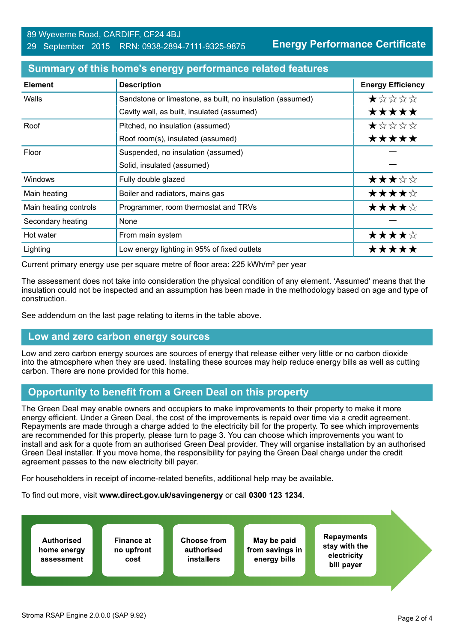Energy Performance Certificate

| <b>Element</b>        | <b>Description</b>                                        | <b>Energy Efficiency</b> |
|-----------------------|-----------------------------------------------------------|--------------------------|
| Walls                 | Sandstone or limestone, as built, no insulation (assumed) | *****                    |
|                       | Cavity wall, as built, insulated (assumed)                | *****                    |
| Roof                  | Pitched, no insulation (assumed)                          | ★☆☆☆☆                    |
|                       | Roof room(s), insulated (assumed)                         | *****                    |
| Floor                 | Suspended, no insulation (assumed)                        |                          |
|                       | Solid, insulated (assumed)                                |                          |
| <b>Windows</b>        | Fully double glazed                                       | ★★★☆☆                    |
| Main heating          | Boiler and radiators, mains gas                           | ★★★★☆                    |
| Main heating controls | Programmer, room thermostat and TRVs                      | ★★★★☆                    |
| Secondary heating     | None                                                      |                          |
| Hot water             | From main system                                          | ★★★★☆                    |
| Lighting              | Low energy lighting in 95% of fixed outlets               | *****                    |

#### Summary of this home's energy performance related features

Current primary energy use per square metre of floor area: 225 kWh/m² per year

The assessment does not take into consideration the physical condition of any element. 'Assumed' means that the insulation could not be inspected and an assumption has been made in the methodology based on age and type of construction.

See addendum on the last page relating to items in the table above.

## Low and zero carbon energy sources

Low and zero carbon energy sources are sources of energy that release either very little or no carbon dioxide into the atmosphere when they are used. Installing these sources may help reduce energy bills as well as cutting carbon. There are none provided for this home.

## Opportunity to benefit from a Green Deal on this property

The Green Deal may enable owners and occupiers to make improvements to their property to make it more energy efficient. Under a Green Deal, the cost of the improvements is repaid over time via a credit agreement. Repayments are made through a charge added to the electricity bill for the property. To see which improvements are recommended for this property, please turn to page 3. You can choose which improvements you want to install and ask for a quote from an authorised Green Deal provider. They will organise installation by an authorised Green Deal installer. If you move home, the responsibility for paying the Green Deal charge under the credit agreement passes to the new electricity bill payer.

For householders in receipt of income-related benefits, additional help may be available.

To find out more, visit www.direct.gov.uk/savingenergy or call 0300 123 1234.

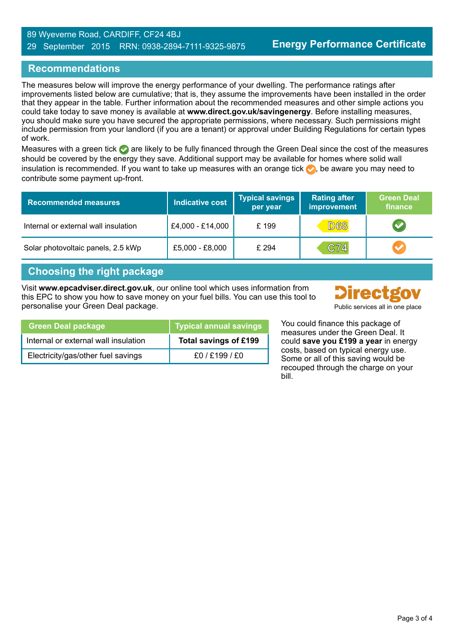#### 89 Wyeverne Road, CARDIFF, CF24 4BJ 29 September 2015 RRN: 0938-2894-7111-9325-9875

## Recommendations

The measures below will improve the energy performance of your dwelling. The performance ratings after improvements listed below are cumulative; that is, they assume the improvements have been installed in the order that they appear in the table. Further information about the recommended measures and other simple actions you could take today to save money is available at www.direct.gov.uk/savingenergy. Before installing measures, you should make sure you have secured the appropriate permissions, where necessary. Such permissions might include permission from your landlord (if you are a tenant) or approval under Building Regulations for certain types of work.

Measures with a green tick  $\bullet$  are likely to be fully financed through the Green Deal since the cost of the measures should be covered by the energy they save. Additional support may be available for homes where solid wall insulation is recommended. If you want to take up measures with an orange tick  $\blacklozenge$ , be aware you may need to contribute some payment up-front.

| <b>Recommended measures</b>          | Indicative cost  | <b>Typical savings</b><br>per year | <b>Rating after</b><br>improvement | Green Deal<br>finance |
|--------------------------------------|------------------|------------------------------------|------------------------------------|-----------------------|
| Internal or external wall insulation | £4,000 - £14,000 | £199                               | <b>D68</b>                         |                       |
| Solar photovoltaic panels, 2.5 kWp   | £5,000 - £8,000  | £ 294                              | C74                                |                       |

## Choosing the right package

Visit www.epcadviser.direct.gov.uk, our online tool which uses information from this EPC to show you how to save money on your fuel bills. You can use this tool to personalise your Green Deal package. **Public services all in one place** provided by Public services all in one place



| pical annual savings | You could finance this p |
|----------------------|--------------------------|
|                      | measures under the Gru   |

ackage of een Deal. It could save you £199 a year in energy costs, based on typical energy use. Some or all of this saving would be recouped through the charge on your bill.

| <b>Green Deal package</b>            | <b>Typical annual savings</b> |
|--------------------------------------|-------------------------------|
| Internal or external wall insulation | Total savings of £199         |
| Electricity/gas/other fuel savings   | f0 / f199 / f0                |